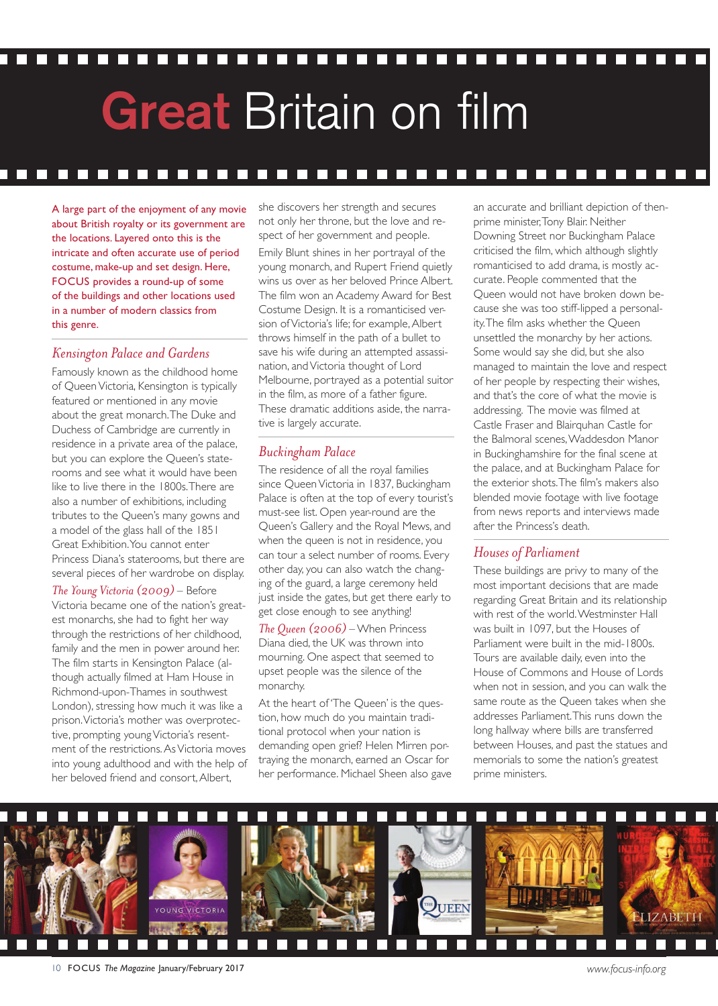# **Great** Britain on film

#### n n n  $\Box$

A large part of the enjoyment of any movie about British royalty or its government are the locations. Layered onto this is the intricate and often accurate use of period costume, make-up and set design. Here, FOCUS provides a round-up of some of the buildings and other locations used in a number of modern classics from this genre.

# *Kensington Palaceand Gardens*

Famously known as the childhood home of Queen Victoria, Kensington is typically featured or mentioned in any movie about the great monarch.The Duke and Duchess of Cambridge are currently in residence in a private area of the palace, but you can explore the Queen's staterooms and see what it would have been like to live there in the 1800s.There are also a number of exhibitions, including tributes to the Queen's many gowns and a model of the glass hall of the 1851 Great Exhibition.You cannot enter Princess Diana's staterooms, but there are several pieces of her wardrobe on display.

*The Young Victoria(2009)* – Before Victoria became one of the nation's greatest monarchs, she had to fight her way through the restrictions of her childhood, family and the men in power around her. The film starts in Kensington Palace (although actually filmed at Ham House in Richmond-upon-Thames in southwest London), stressing how much it was like a prison.Victoria's mother was overprotective, prompting young Victoria's resentment of the restrictions.AsVictoria moves into young adulthood and with the help of her beloved friend and consort,Albert,

she discovers her strength and secures not only her throne, but the love and respect of her government and people. Emily Blunt shines in her portrayal of the young monarch, and Rupert Friend quietly wins us over as her beloved Prince Albert. The film won an Academy Award for Best Costume Design. It is a romanticised version ofVictoria's life; for example,Albert throws himself in the path of a bullet to save his wife during an attempted assassination, andVictoria thought of Lord Melbourne, portrayed as a potential suitor in the film, as more of a father figure. These dramatic additions aside, the narrative is largely accurate.

# *Buckingham Palace*

The residence of all the royal families since Queen Victoria in 1837, Buckingham Palace is often at the top of every tourist's must-see list. Open year-round are the Queen's Gallery and the Royal Mews, and when the queen is not in residence, you can tour a select number of rooms. Every other day, you can also watch the changing of the guard, a large ceremony held just inside the gates, but get there early to get close enough to see anything!

*The Queen (2006)* – When Princess Diana died, the UK was thrown into mourning. One aspect that seemed to upset people was the silence of the monarchy.

At the heart of 'The Queen' is the question, how much do you maintain traditional protocol when your nation is demanding open grief? Helen Mirren portraying the monarch, earned an Oscar for her performance. Michael Sheen also gave

an accurate and brilliant depiction of thenprime minister,Tony Blair. Neither Downing Street nor Buckingham Palace criticised the film, which although slightly romanticised to add drama, is mostly accurate. People commented that the Queen would not have broken down because she was too stiff-lipped a personality.The film asks whether the Queen unsettled the monarchy by her actions. Some would say she did, but she also managed to maintain the love and respect of her people by respecting their wishes, and that's the core of what the movie is addressing. The movie was filmed at Castle Fraser and Blairquhan Castle for the Balmoral scenes,Waddesdon Manor in Buckinghamshire for the final scene at the palace, and at Buckingham Palace for the exterior shots.The film's makers also blended movie footage with live footage from news reports and interviews made after the Princess's death.

# *Housesof Parliament*

These buildings are privy to many of the most important decisions that are made regarding Great Britain and its relationship with rest of the world.Westminster Hall was built in 1097, but the Houses of Parliament were built in the mid-1800s. Tours are available daily, even into the House of Commons and House of Lords when not in session, and you can walk the same route as the Queen takes when she addresses Parliament.This runs down the long hallway where bills are transferred between Houses, and past the statues and memorials to some the nation's greatest prime ministers.

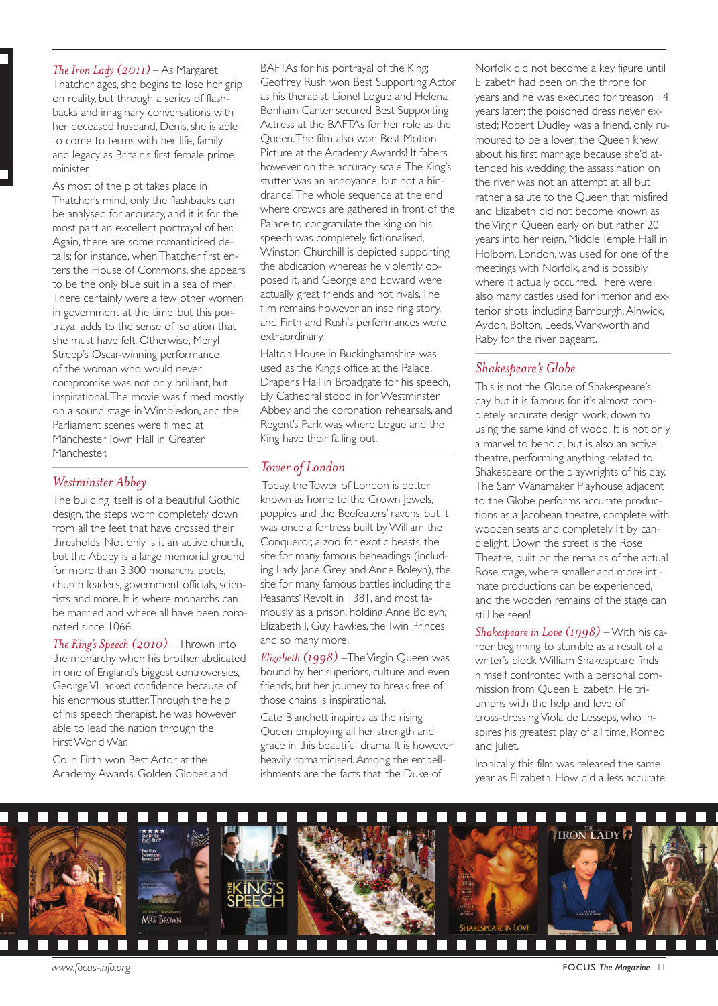*The Iron Lady(2011)* – As Margaret Thatcher ages, she begins to lose her grip on reality, but through a series of flashbacks and imaginary conversations with her deceased husband, Denis, she is able to come to terms with her life, family and legacy as Britain's first female prime minister.

As most of the plot takes place in Thatcher's mind, only the flashbacks can be analysed for accuracy, and it is for the most part an excellent portrayal of her. Again, there are some romanticised details; for instance, whenThatcher first enters the House of Commons, she appears to be the only blue suit in a sea of men. There certainly were a few other women in government at the time, but this portrayal adds to the sense of isolation that she must have felt. Otherwise, Meryl Streep's Oscar-winning performance of the woman who would never compromise was not only brilliant, but inspirational.The movie was filmed mostly on a sound stage in Wimbledon, and the Parliament scenes were filmed at ManchesterTown Hall in Greater Manchester.

#### *Westminster Abbey*

The building itself is of a beautiful Gothic design, the steps worn completely down from all the feet that have crossed their thresholds. Not only is it an active church, but the Abbey is a large memorial ground for more than 3,300 monarchs, poets, church leaders, government officials, scientists and more. It is where monarchs can be married and where all have been coronated since 1066.

*The King's Speech(2010)* –Thrown into the monarchy when his brother abdicated in one of England's biggest controversies, GeorgeVI lacked confidence because of his enormous stutter.Through the help of his speech therapist, he was however able to lead the nation through the First World War.

Colin Firth won Best Actor at the Academy Awards, Golden Globes and

BAFTAs for his portrayal of the King; Geoffrey Rush won Best Supporting Actor as his therapist, Lionel Logue and Helena Bonham Carter secured Best Supporting Actress at the BAFTAs for her role as the Queen.The film also won Best Motion Picture at the Academy Awards! It falters however on the accuracy scale.The King's stutter was an annoyance, but not a hindrance!The whole sequence at the end where crowds are gathered in front of the Palace to congratulate the king on his speech was completely fictionalised, Winston Churchill is depicted supporting the abdication whereas he violently opposed it, and George and Edward were actually great friends and not rivals.The film remains however an inspiring story, and Firth and Rush's performances were extraordinary.

Halton House in Buckinghamshire was used as the King's office at the Palace, Draper's Hall in Broadgate for his speech, Ely Cathedral stood in for Westminster Abbey and the coronation rehearsals, and Regent's Park was where Logue and the King have their falling out.

# *Towerof London*

Today, the Tower of London is better known as home to the Crown Jewels, poppies and the Beefeaters' ravens, but it was once a fortress built by William the Conqueror, a zoo for exotic beasts, the site for many famous beheadings (including Lady Jane Grey and Anne Boleyn), the site for many famous battles including the Peasants' Revolt in 1381, and most famously as a prison, holding Anne Boleyn, Elizabeth I, Guy Fawkes, theTwin Princes and so many more.

*Elizabeth(1998)* –TheVirgin Queen was bound by her superiors, culture and even friends, but her journey to break free of those chains is inspirational.

Cate Blanchett inspires as the rising Queen employing all her strength and grace in this beautiful drama. It is however heavily romanticised.Among the embellishments are the facts that: the Duke of

Norfolk did not become a key figure until Elizabeth had been on the throne for years and he was executed for treason 14 years later; the poisoned dress never existed; Robert Dudley was a friend, only rumoured to be a lover; the Queen knew about his first marriage because she'd attended his wedding; the assassination on the river was not an attempt at all but rather a salute to the Queen that misfired and Elizabeth did not become known as theVirgin Queen early on but rather 20 years into her reign. MiddleTemple Hall in Holborn, London, was used for one of the meetings with Norfolk, and is possibly where it actually occurred.There were also many castles used for interior and exterior shots, including Bamburgh,Alnwick, Aydon, Bolton, Leeds,Warkworth and Raby for the river pageant.

# *Shakespeare's Globe*

This is not the Globe of Shakespeare's day, but it is famous for it's almost completely accurate design work, down to using the same kind of wood! It is not only a marvel to behold, but is also an active theatre, performing anything related to Shakespeare or the playwrights of his day. The Sam Wanamaker Playhouse adjacent to the Globe performs accurate productions as a Jacobean theatre, complete with wooden seats and completely lit by candlelight. Down the street is the Rose Theatre, built on the remains of the actual Rose stage, where smaller and more intimate productions can be experienced, and the wooden remains of the stage can still be seen!

*Shakespeare in Love(1998)* – With his career beginning to stumble as a result of a writer's block,William Shakespeare finds himself confronted with a personal commission from Queen Elizabeth. He triumphs with the help and love of cross-dressingViola de Lesseps, who inspires his greatest play of all time, Romeo and Juliet.

Ironically, this film was released the same year as Elizabeth. How did a less accurate